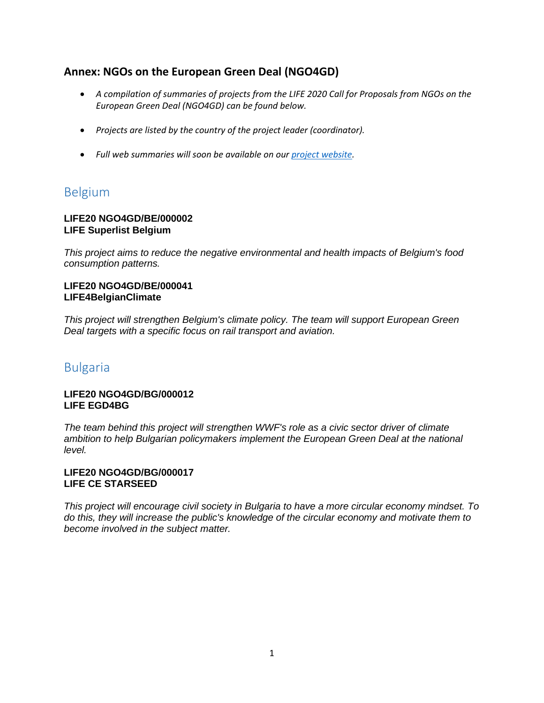## **Annex: NGOs on the European Green Deal (NGO4GD)**

- *A compilation of summaries of projects from the LIFE 2020 Call for Proposals from NGOs on the European Green Deal (NGO4GD) can be found below.*
- *Projects are listed by the country of the project leader (coordinator).*
- *Full web summaries will soon be available on our [project website.](https://webgate.ec.europa.eu/life/publicWebsite/index.cfm)*

# Belgium

### **LIFE20 NGO4GD/BE/000002 LIFE Superlist Belgium**

*This project aims to reduce the negative environmental and health impacts of Belgium's food consumption patterns.*

### **LIFE20 NGO4GD/BE/000041 LIFE4BelgianClimate**

*This project will strengthen Belgium's climate policy. The team will support European Green Deal targets with a specific focus on rail transport and aviation.*

# Bulgaria

### **LIFE20 NGO4GD/BG/000012 LIFE EGD4BG**

*The team behind this project will strengthen WWF's role as a civic sector driver of climate ambition to help Bulgarian policymakers implement the European Green Deal at the national level.*

### **LIFE20 NGO4GD/BG/000017 LIFE CE STARSEED**

*This project will encourage civil society in Bulgaria to have a more circular economy mindset. To do this, they will increase the public's knowledge of the circular economy and motivate them to become involved in the subject matter.*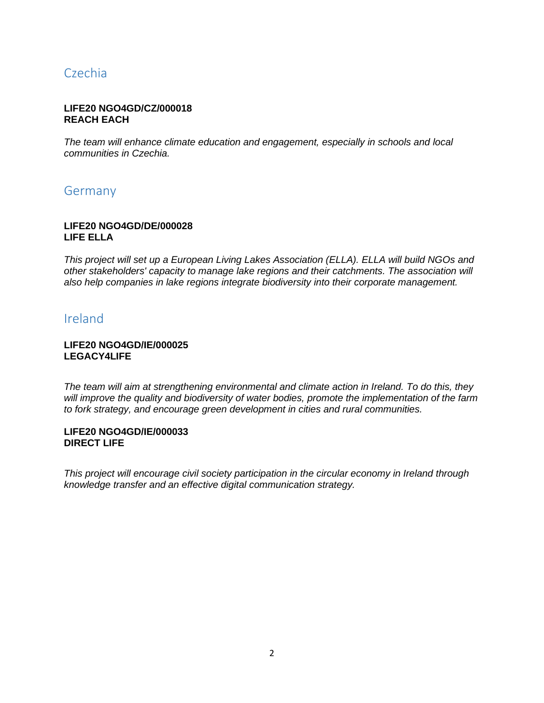# Czechia

### **LIFE20 NGO4GD/CZ/000018 REACH EACH**

*The team will enhance climate education and engagement, especially in schools and local communities in Czechia.*

# Germany

### **LIFE20 NGO4GD/DE/000028 LIFE ELLA**

*This project will set up a European Living Lakes Association (ELLA). ELLA will build NGOs and other stakeholders' capacity to manage lake regions and their catchments. The association will also help companies in lake regions integrate biodiversity into their corporate management.*

## Ireland

### **LIFE20 NGO4GD/IE/000025 LEGACY4LIFE**

*The team will aim at strengthening environmental and climate action in Ireland. To do this, they will improve the quality and biodiversity of water bodies, promote the implementation of the farm to fork strategy, and encourage green development in cities and rural communities.*

#### **LIFE20 NGO4GD/IE/000033 DIRECT LIFE**

*This project will encourage civil society participation in the circular economy in Ireland through knowledge transfer and an effective digital communication strategy.*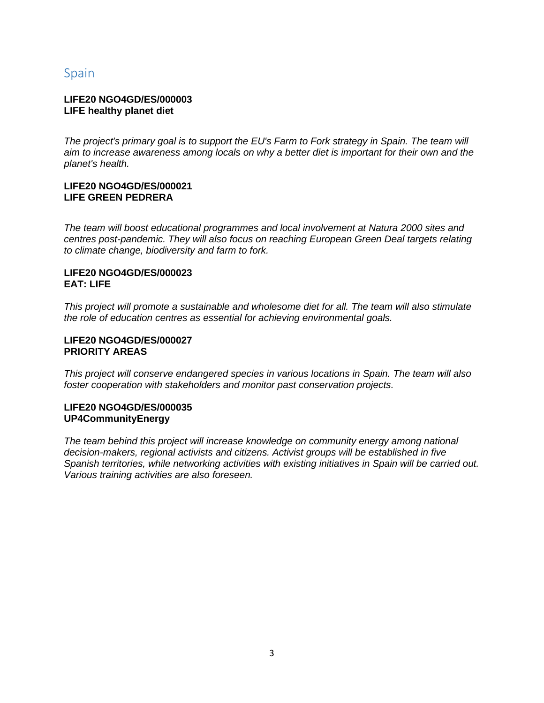# Spain

### **LIFE20 NGO4GD/ES/000003 LIFE healthy planet diet**

*The project's primary goal is to support the EU's Farm to Fork strategy in Spain. The team will aim to increase awareness among locals on why a better diet is important for their own and the planet's health.*

### **LIFE20 NGO4GD/ES/000021 LIFE GREEN PEDRERA**

*The team will boost educational programmes and local involvement at Natura 2000 sites and centres post-pandemic. They will also focus on reaching European Green Deal targets relating to climate change, biodiversity and farm to fork.*

### **LIFE20 NGO4GD/ES/000023 EAT: LIFE**

*This project will promote a sustainable and wholesome diet for all. The team will also stimulate the role of education centres as essential for achieving environmental goals.*

### **LIFE20 NGO4GD/ES/000027 PRIORITY AREAS**

*This project will conserve endangered species in various locations in Spain. The team will also foster cooperation with stakeholders and monitor past conservation projects.*

### **LIFE20 NGO4GD/ES/000035 UP4CommunityEnergy**

*The team behind this project will increase knowledge on community energy among national decision-makers, regional activists and citizens. Activist groups will be established in five Spanish territories, while networking activities with existing initiatives in Spain will be carried out. Various training activities are also foreseen.*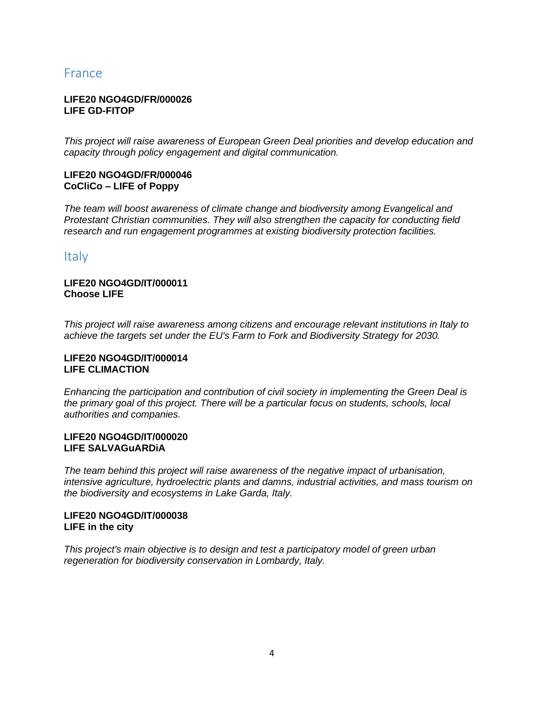# France

### **LIFE20 NGO4GD/FR/000026 LIFE GD-FITOP**

*This project will raise awareness of European Green Deal priorities and develop education and capacity through policy engagement and digital communication.*

### **LIFE20 NGO4GD/FR/000046 CoCliCo – LIFE of Poppy**

*The team will boost awareness of climate change and biodiversity among Evangelical and Protestant Christian communities. They will also strengthen the capacity for conducting field research and run engagement programmes at existing biodiversity protection facilities.*

### **Italy**

### **LIFE20 NGO4GD/IT/000011 Choose LIFE**

*This project will raise awareness among citizens and encourage relevant institutions in Italy to achieve the targets set under the EU's Farm to Fork and Biodiversity Strategy for 2030.*

### **LIFE20 NGO4GD/IT/000014 LIFE CLIMACTION**

*Enhancing the participation and contribution of civil society in implementing the Green Deal is the primary goal of this project. There will be a particular focus on students, schools, local authorities and companies.*

### **LIFE20 NGO4GD/IT/000020 LIFE SALVAGuARDiA**

*The team behind this project will raise awareness of the negative impact of urbanisation, intensive agriculture, hydroelectric plants and damns, industrial activities, and mass tourism on the biodiversity and ecosystems in Lake Garda, Italy.*

### **LIFE20 NGO4GD/IT/000038 LIFE in the city**

*This project's main objective is to design and test a participatory model of green urban regeneration for biodiversity conservation in Lombardy, Italy.*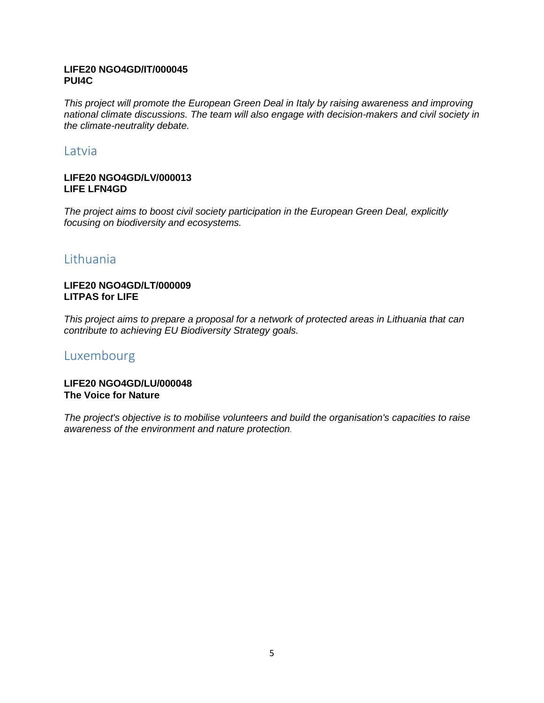### **LIFE20 NGO4GD/IT/000045 PUI4C**

*This project will promote the European Green Deal in Italy by raising awareness and improving national climate discussions. The team will also engage with decision-makers and civil society in the climate-neutrality debate.*

### **Latvia**

### **LIFE20 NGO4GD/LV/000013 LIFE LFN4GD**

*The project aims to boost civil society participation in the European Green Deal, explicitly focusing on biodiversity and ecosystems.* 

# Lithuania

### **LIFE20 NGO4GD/LT/000009 LITPAS for LIFE**

*This project aims to prepare a proposal for a network of protected areas in Lithuania that can contribute to achieving EU Biodiversity Strategy goals.*

## Luxembourg

### **LIFE20 NGO4GD/LU/000048 The Voice for Nature**

*The project's objective is to mobilise volunteers and build the organisation's capacities to raise awareness of the environment and nature protection.*